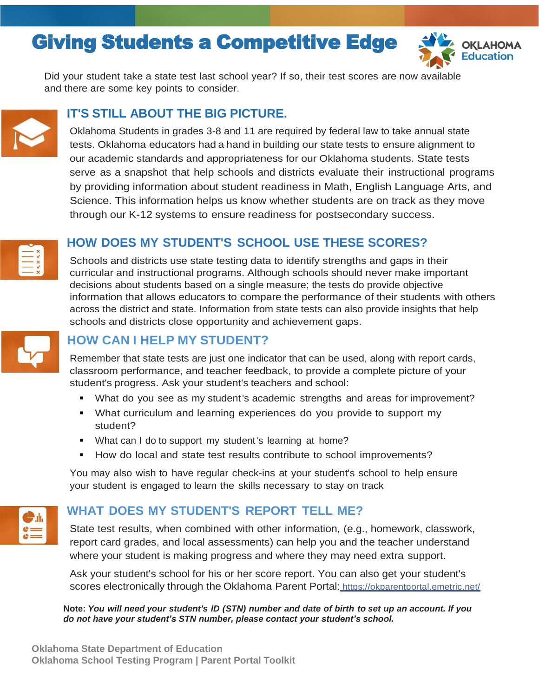# Giving Students a Competitive Edge



Did your student take a state test last school year? If so, their test scores are now available and there are some key points to consider.



### **IT'S STILL ABOUT THE BIG PICTURE.**

Oklahoma Students in grades 3-8 and 11 are required by federal law to take annual state tests. Oklahoma educators had a hand in building our state tests to ensure alignment to our academic standards and appropriateness for our Oklahoma students. State tests serve as a snapshot that help schools and districts evaluate their instructional programs by providing information about student readiness in Math, English Language Arts, and Science. This information helps us know whether students are on track as they move through our K-12 systems to ensure readiness for postsecondary success.



### **HOW DOES MY STUDENT'S SCHOOL USE THESE SCORES?**

Schools and districts use state testing data to identify strengths and gaps in their curricular and instructional programs. Although schools should never make important decisions about students based on a single measure; the tests do provide objective information that allows educators to compare the performance of their students with others across the district and state. Information from state tests can also provide insights that help schools and districts close opportunity and achievement gaps.



### **HOW CAN I HELP MY STUDENT?**

Remember that state tests are just one indicator that can be used, along with report cards, classroom performance, and teacher feedback, to provide a complete picture of your student's progress. Ask your student's teachers and school:

- What do you see as my student's academic strengths and areas for improvement?
- What curriculum and learning experiences do you provide to support my student?
- What can I do to support my student's learning at home?
- How do local and state test results contribute to school improvements?

You may also wish to have regular check-ins at your student's school to help ensure your student is engaged to learn the skills necessary to stay on track



### **WHAT DOES MY STUDENT'S REPORT TELL ME?**

State test results, when combined with other information, (e.g., homework, classwork, report card grades, and local assessments) can help you and the teacher understand where your student is making progress and where they may need extra support.

Ask your student's school for his or her score report. You can also get your student's scores electronically through the Oklahoma Parent Portal: https://okparentportal.emetric.net/

Note: You will need your student's ID (STN) number and date of birth to set up an account. If you *do not have your student's STN number, please contact your student's school.*